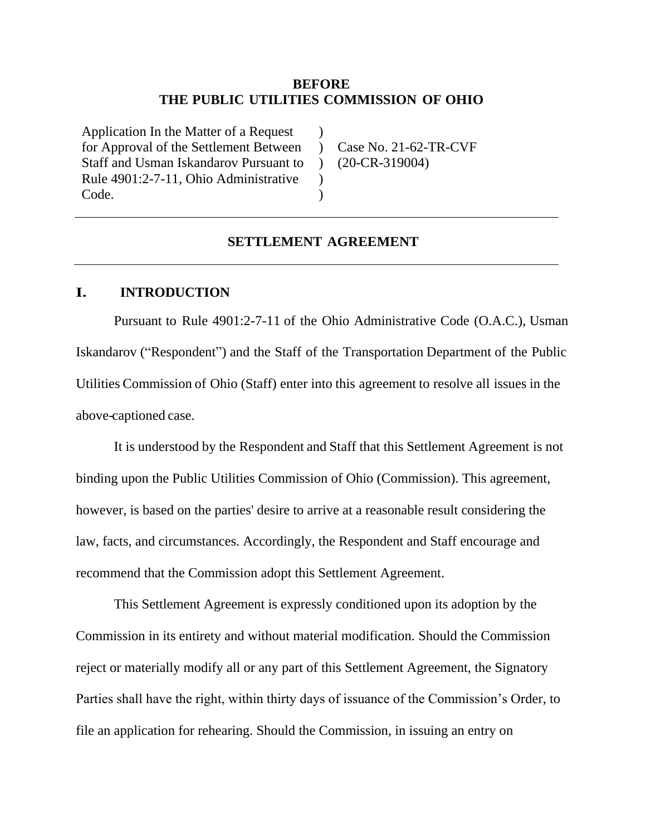### **BEFORE THE PUBLIC UTILITIES COMMISSION OF OHIO**

 $\lambda$  $\mathcal{L}$  $\mathcal{L}$  $\lambda$  $\lambda$ 

Application In the Matter of a Request for Approval of the Settlement Between Staff and Usman Iskandarov Pursuant to Rule 4901:2-7-11, Ohio Administrative Code.

Case No. 21-62-TR-CVF (20-CR-319004)

## **SETTLEMENT AGREEMENT**

### **I. INTRODUCTION**

Pursuant to Rule 4901:2-7-11 of the Ohio Administrative Code (O.A.C.), Usman Iskandarov ("Respondent") and the Staff of the Transportation Department of the Public Utilities Commission of Ohio (Staff) enter into this agreement to resolve all issues in the above-captioned case.

It is understood by the Respondent and Staff that this Settlement Agreement is not binding upon the Public Utilities Commission of Ohio (Commission). This agreement, however, is based on the parties' desire to arrive at a reasonable result considering the law, facts, and circumstances. Accordingly, the Respondent and Staff encourage and recommend that the Commission adopt this Settlement Agreement.

This Settlement Agreement is expressly conditioned upon its adoption by the Commission in its entirety and without material modification. Should the Commission reject or materially modify all or any part of this Settlement Agreement, the Signatory Parties shall have the right, within thirty days of issuance of the Commission's Order, to file an application for rehearing. Should the Commission, in issuing an entry on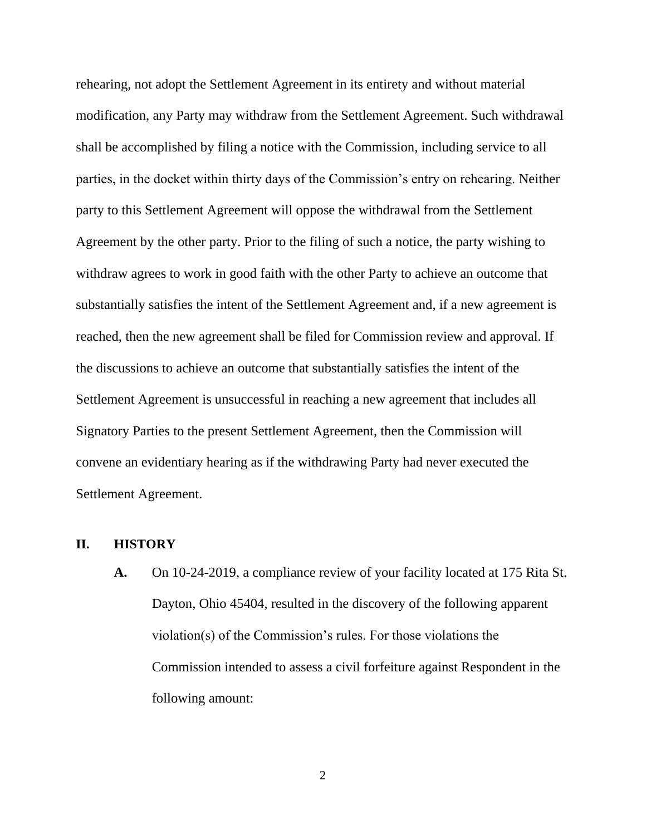rehearing, not adopt the Settlement Agreement in its entirety and without material modification, any Party may withdraw from the Settlement Agreement. Such withdrawal shall be accomplished by filing a notice with the Commission, including service to all parties, in the docket within thirty days of the Commission's entry on rehearing. Neither party to this Settlement Agreement will oppose the withdrawal from the Settlement Agreement by the other party. Prior to the filing of such a notice, the party wishing to withdraw agrees to work in good faith with the other Party to achieve an outcome that substantially satisfies the intent of the Settlement Agreement and, if a new agreement is reached, then the new agreement shall be filed for Commission review and approval. If the discussions to achieve an outcome that substantially satisfies the intent of the Settlement Agreement is unsuccessful in reaching a new agreement that includes all Signatory Parties to the present Settlement Agreement, then the Commission will convene an evidentiary hearing as if the withdrawing Party had never executed the Settlement Agreement.

### **II. HISTORY**

**A.** On 10-24-2019, a compliance review of your facility located at 175 Rita St. Dayton, Ohio 45404, resulted in the discovery of the following apparent violation(s) of the Commission's rules. For those violations the Commission intended to assess a civil forfeiture against Respondent in the following amount: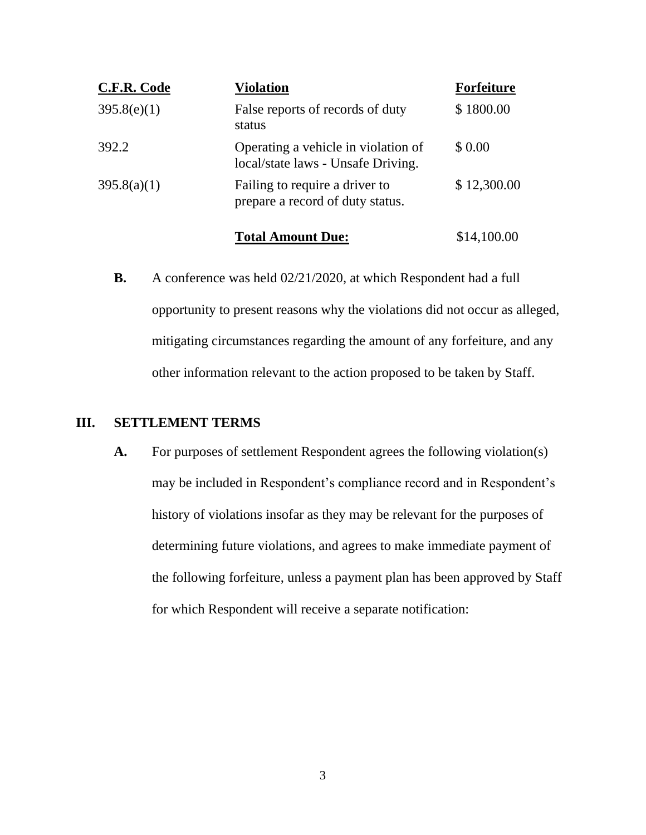| C.F.R. Code | <b>Violation</b>                                                          | <b>Forfeiture</b> |
|-------------|---------------------------------------------------------------------------|-------------------|
| 395.8(e)(1) | False reports of records of duty<br>status                                | \$1800.00         |
| 392.2       | Operating a vehicle in violation of<br>local/state laws - Unsafe Driving. | \$ 0.00           |
| 395.8(a)(1) | Failing to require a driver to<br>prepare a record of duty status.        | \$12,300.00       |

**Total Amount Due:** \$14,100.00

**B.** A conference was held 02/21/2020, at which Respondent had a full opportunity to present reasons why the violations did not occur as alleged, mitigating circumstances regarding the amount of any forfeiture, and any other information relevant to the action proposed to be taken by Staff.

## **III. SETTLEMENT TERMS**

**A.** For purposes of settlement Respondent agrees the following violation(s) may be included in Respondent's compliance record and in Respondent's history of violations insofar as they may be relevant for the purposes of determining future violations, and agrees to make immediate payment of the following forfeiture, unless a payment plan has been approved by Staff for which Respondent will receive a separate notification: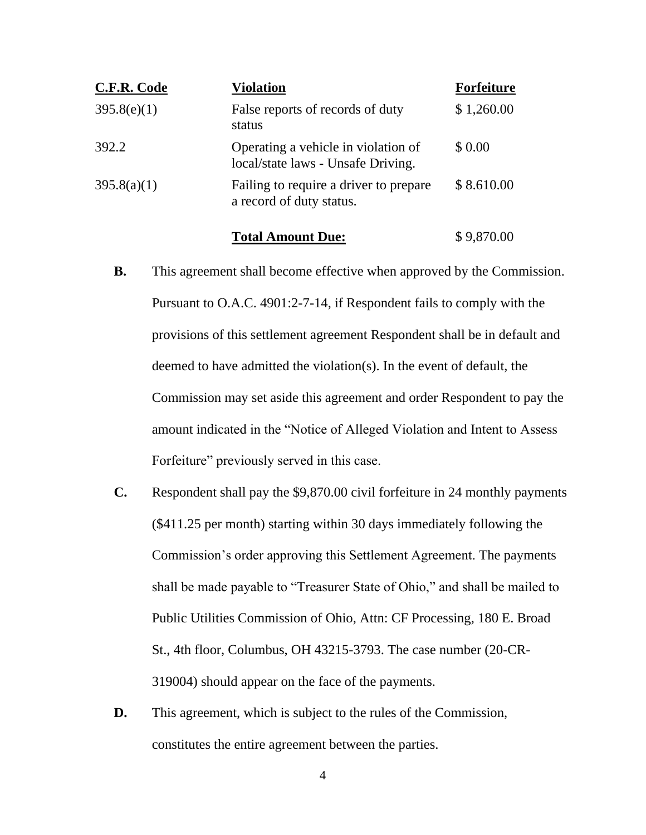| C.F.R. Code | <b>Violation</b>                                                          | <b>Forfeiture</b> |
|-------------|---------------------------------------------------------------------------|-------------------|
| 395.8(e)(1) | False reports of records of duty<br>status                                | \$1,260.00        |
| 392.2       | Operating a vehicle in violation of<br>local/state laws - Unsafe Driving. | \$ 0.00           |
| 395.8(a)(1) | Failing to require a driver to prepare<br>a record of duty status.        | \$8.610.00        |

#### **Total Amount Due:** \$9,870.00

- **B.** This agreement shall become effective when approved by the Commission. Pursuant to O.A.C. 4901:2-7-14, if Respondent fails to comply with the provisions of this settlement agreement Respondent shall be in default and deemed to have admitted the violation(s). In the event of default, the Commission may set aside this agreement and order Respondent to pay the amount indicated in the "Notice of Alleged Violation and Intent to Assess Forfeiture" previously served in this case.
- **C.** Respondent shall pay the \$9,870.00 civil forfeiture in 24 monthly payments (\$411.25 per month) starting within 30 days immediately following the Commission's order approving this Settlement Agreement. The payments shall be made payable to "Treasurer State of Ohio," and shall be mailed to Public Utilities Commission of Ohio, Attn: CF Processing, 180 E. Broad St., 4th floor, Columbus, OH 43215-3793. The case number (20-CR-319004) should appear on the face of the payments.
- **D.** This agreement, which is subject to the rules of the Commission, constitutes the entire agreement between the parties.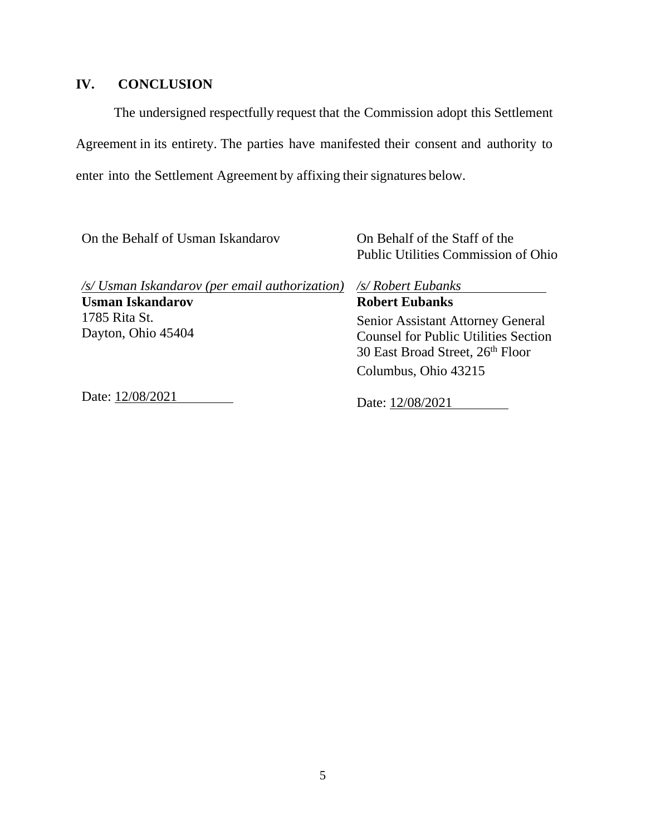# **IV. CONCLUSION**

The undersigned respectfully request that the Commission adopt this Settlement Agreement in its entirety. The parties have manifested their consent and authority to enter into the Settlement Agreement by affixing their signatures below.

| On the Behalf of Usman Iskandarov                                         | On Behalf of the Staff of the<br>Public Utilities Commission of Ohio                                                 |
|---------------------------------------------------------------------------|----------------------------------------------------------------------------------------------------------------------|
| /s/ Usman Iskandarov (per email authorization)<br><b>Usman Iskandarov</b> | /s/ Robert Eubanks<br><b>Robert Eubanks</b>                                                                          |
| 1785 Rita St.<br>Dayton, Ohio 45404                                       | Senior Assistant Attorney General<br><b>Counsel for Public Utilities Section</b><br>30 East Broad Street, 26th Floor |
|                                                                           | Columbus, Ohio 43215                                                                                                 |
| Date: 12/08/2021                                                          | Date: 12/08/2021                                                                                                     |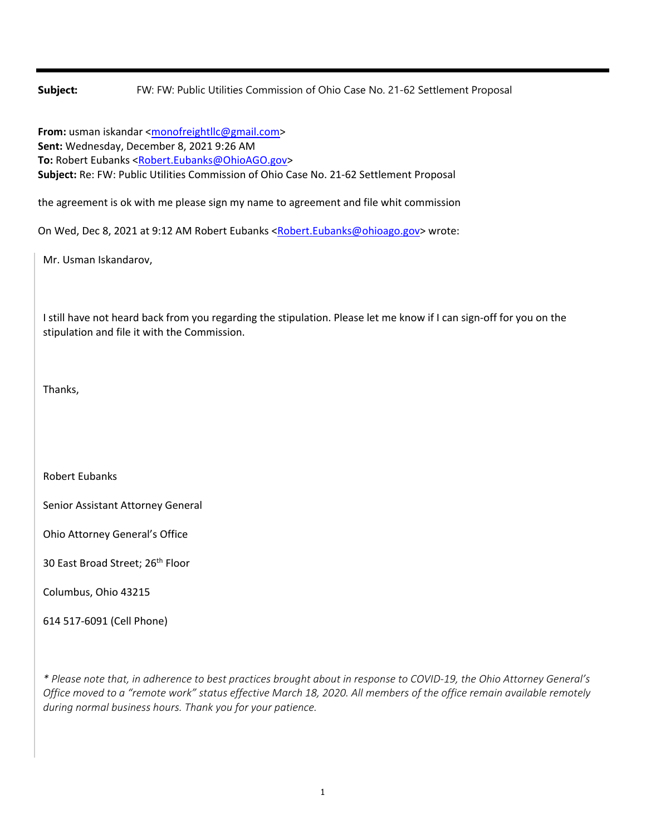**Subject:** FW: FW: Public Utilities Commission of Ohio Case No. 21-62 Settlement Proposal

**From:** usman iskandar <monofreightllc@gmail.com> **Sent:** Wednesday, December 8, 2021 9:26 AM **To:** Robert Eubanks <Robert.Eubanks@OhioAGO.gov> **Subject:** Re: FW: Public Utilities Commission of Ohio Case No. 21‐62 Settlement Proposal

the agreement is ok with me please sign my name to agreement and file whit commission

On Wed, Dec 8, 2021 at 9:12 AM Robert Eubanks <Robert.Eubanks@ohioago.gov> wrote:

Mr. Usman Iskandarov,

I still have not heard back from you regarding the stipulation. Please let me know if I can sign-off for you on the stipulation and file it with the Commission.

Thanks,

Robert Eubanks

Senior Assistant Attorney General

Ohio Attorney General's Office

30 East Broad Street; 26<sup>th</sup> Floor

Columbus, Ohio 43215

614 517‐6091 (Cell Phone)

\* Please note that, in adherence to best practices brought about in response to COVID-19, the Ohio Attorney General's Office moved to a "remote work" status effective March 18, 2020. All members of the office remain available remotely *during normal business hours. Thank you for your patience.*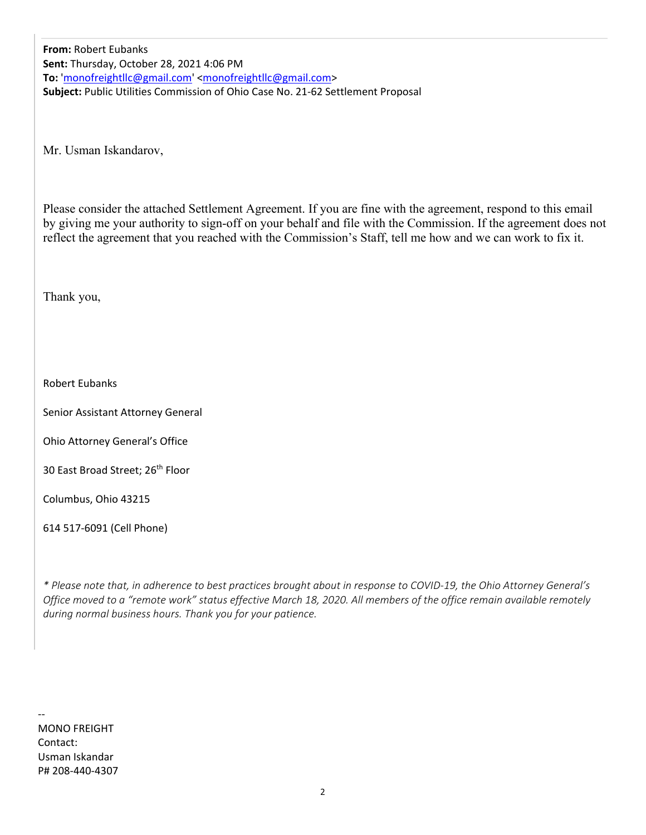**From:** Robert Eubanks **Sent:** Thursday, October 28, 2021 4:06 PM **To:** 'monofreightllc@gmail.com' <monofreightllc@gmail.com> **Subject:** Public Utilities Commission of Ohio Case No. 21‐62 Settlement Proposal

Mr. Usman Iskandarov,

Please consider the attached Settlement Agreement. If you are fine with the agreement, respond to this email by giving me your authority to sign-off on your behalf and file with the Commission. If the agreement does not reflect the agreement that you reached with the Commission's Staff, tell me how and we can work to fix it.

Thank you,

Robert Eubanks

Senior Assistant Attorney General

Ohio Attorney General's Office

30 East Broad Street; 26<sup>th</sup> Floor

Columbus, Ohio 43215

614 517‐6091 (Cell Phone)

\* Please note that, in adherence to best practices brought about in response to COVID-19, the Ohio Attorney General's Office moved to a "remote work" status effective March 18, 2020. All members of the office remain available remotely *during normal business hours. Thank you for your patience.*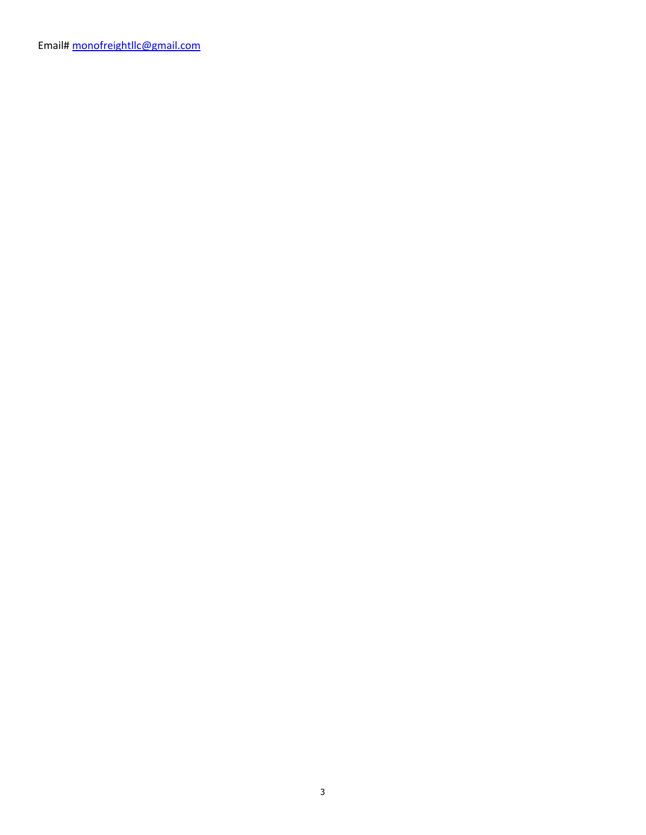Email# monofreightllc@gmail.com